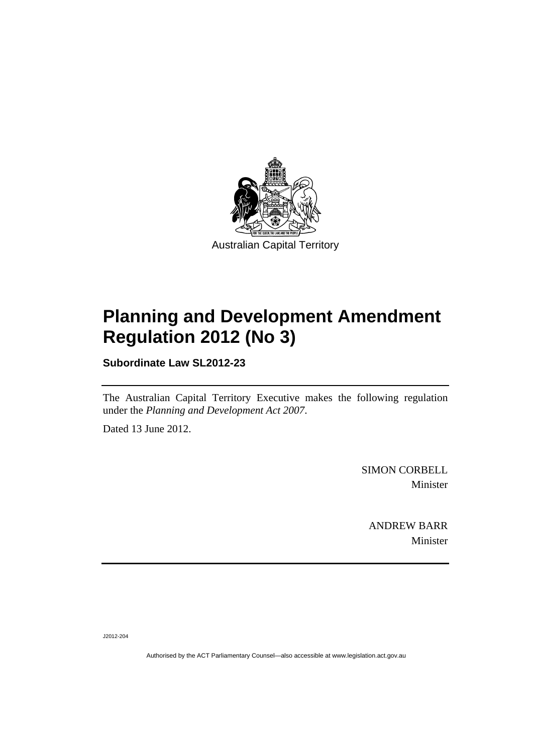

# **Planning and Development Amendment Regulation 2012 (No 3)**

**Subordinate Law SL2012-23** 

The Australian Capital Territory Executive makes the following regulation under the *Planning and Development Act 2007*.

Dated 13 June 2012.

SIMON CORBELL Minister

ANDREW BARR Minister

J2012-204

Authorised by the ACT Parliamentary Counsel—also accessible at www.legislation.act.gov.au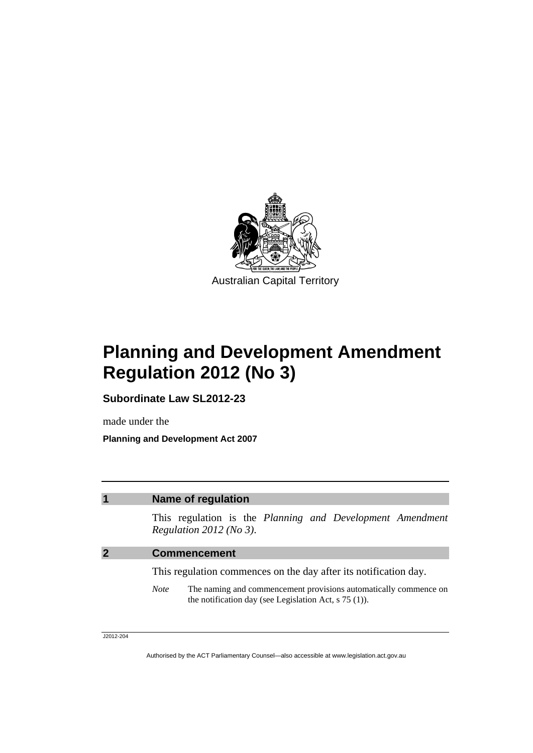

## **Planning and Development Amendment Regulation 2012 (No 3)**

**Subordinate Law SL2012-23** 

made under the

**Planning and Development Act 2007** 

### **1 Name of regulation**

This regulation is the *Planning and Development Amendment Regulation 2012 (No 3)*.

#### **2 Commencement**

This regulation commences on the day after its notification day.

*Note* The naming and commencement provisions automatically commence on the notification day (see Legislation Act, s 75 (1)).

J2012-204

Authorised by the ACT Parliamentary Counsel—also accessible at www.legislation.act.gov.au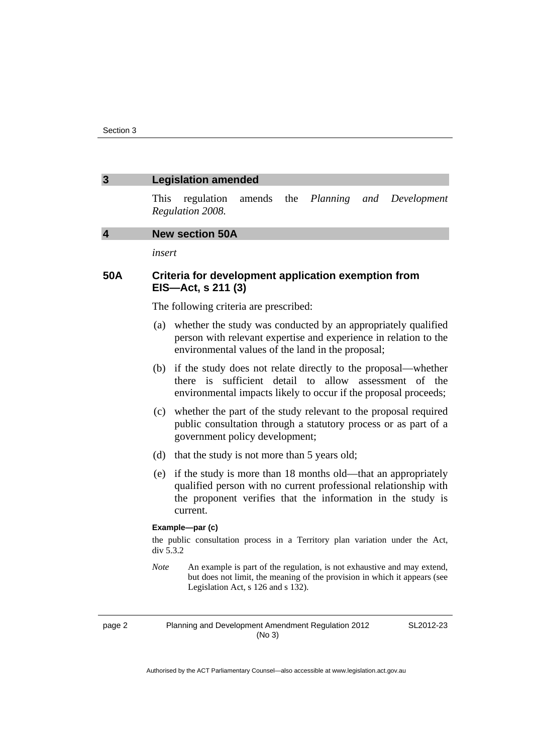| $\overline{3}$          | <b>Legislation amended</b>                                                                |                                                                                                                                                                                                             |        |     |          |     |                                                                                                                                                      |  |
|-------------------------|-------------------------------------------------------------------------------------------|-------------------------------------------------------------------------------------------------------------------------------------------------------------------------------------------------------------|--------|-----|----------|-----|------------------------------------------------------------------------------------------------------------------------------------------------------|--|
|                         | This                                                                                      | regulation<br>Regulation 2008.                                                                                                                                                                              | amends | the | Planning | and | Development                                                                                                                                          |  |
| $\overline{\mathbf{4}}$ | <b>New section 50A</b>                                                                    |                                                                                                                                                                                                             |        |     |          |     |                                                                                                                                                      |  |
|                         | insert                                                                                    |                                                                                                                                                                                                             |        |     |          |     |                                                                                                                                                      |  |
| 50A                     | Criteria for development application exemption from<br>EIS-Act, s 211 (3)                 |                                                                                                                                                                                                             |        |     |          |     |                                                                                                                                                      |  |
|                         | The following criteria are prescribed:                                                    |                                                                                                                                                                                                             |        |     |          |     |                                                                                                                                                      |  |
|                         | (a)                                                                                       | whether the study was conducted by an appropriately qualified<br>person with relevant expertise and experience in relation to the<br>environmental values of the land in the proposal;                      |        |     |          |     |                                                                                                                                                      |  |
|                         | (b)                                                                                       | if the study does not relate directly to the proposal—whether<br>sufficient<br>detail to<br>allow assessment<br>there is<br>of<br>the<br>environmental impacts likely to occur if the proposal proceeds;    |        |     |          |     |                                                                                                                                                      |  |
|                         | (c)                                                                                       | whether the part of the study relevant to the proposal required<br>public consultation through a statutory process or as part of a<br>government policy development;                                        |        |     |          |     |                                                                                                                                                      |  |
|                         | (d)                                                                                       | that the study is not more than 5 years old;                                                                                                                                                                |        |     |          |     |                                                                                                                                                      |  |
|                         | (e)                                                                                       | if the study is more than 18 months old—that an appropriately<br>qualified person with no current professional relationship with<br>the proponent verifies that the information in the study is<br>current. |        |     |          |     |                                                                                                                                                      |  |
|                         | Example-par (c)                                                                           |                                                                                                                                                                                                             |        |     |          |     |                                                                                                                                                      |  |
|                         | the public consultation process in a Territory plan variation under the Act,<br>div 5.3.2 |                                                                                                                                                                                                             |        |     |          |     |                                                                                                                                                      |  |
|                         | <b>Note</b>                                                                               | Legislation Act, s 126 and s 132).                                                                                                                                                                          |        |     |          |     | An example is part of the regulation, is not exhaustive and may extend,<br>but does not limit, the meaning of the provision in which it appears (see |  |

page 2 Planning and Development Amendment Regulation 2012 (No 3)

SL2012-23